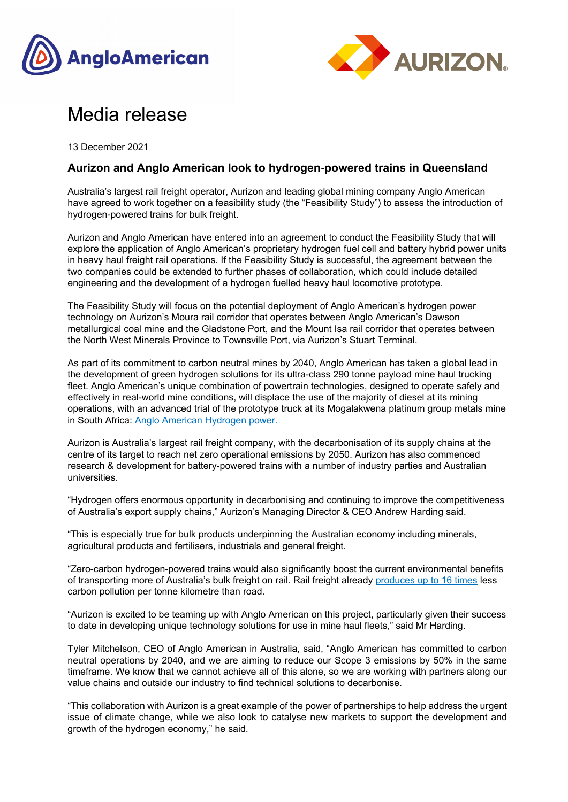



# Media release

13 December 2021

## **Aurizon and Anglo American look to hydrogen-powered trains in Queensland**

Australia's largest rail freight operator, Aurizon and leading global mining company Anglo American have agreed to work together on a feasibility study (the "Feasibility Study") to assess the introduction of hydrogen-powered trains for bulk freight.

Aurizon and Anglo American have entered into an agreement to conduct the Feasibility Study that will explore the application of Anglo American's proprietary hydrogen fuel cell and battery hybrid power units in heavy haul freight rail operations. If the Feasibility Study is successful, the agreement between the two companies could be extended to further phases of collaboration, which could include detailed engineering and the development of a hydrogen fuelled heavy haul locomotive prototype.

The Feasibility Study will focus on the potential deployment of Anglo American's hydrogen power technology on Aurizon's Moura rail corridor that operates between Anglo American's Dawson metallurgical coal mine and the Gladstone Port, and the Mount Isa rail corridor that operates between the North West Minerals Province to Townsville Port, via Aurizon's Stuart Terminal.

As part of its commitment to carbon neutral mines by 2040, Anglo American has taken a global lead in the development of green hydrogen solutions for its ultra-class 290 tonne payload mine haul trucking fleet. Anglo American's unique combination of powertrain technologies, designed to operate safely and effectively in real-world mine conditions, will displace the use of the majority of diesel at its mining operations, with an advanced trial of the prototype truck at its Mogalakwena platinum group metals mine in South Africa: Anglo American Hydrogen power.

Aurizon is Australia's largest rail freight company, with the decarbonisation of its supply chains at the centre of its target to reach net zero operational emissions by 2050. Aurizon has also commenced research & development for battery-powered trains with a number of industry parties and Australian universities.

"Hydrogen offers enormous opportunity in decarbonising and continuing to improve the competitiveness of Australia's export supply chains," Aurizon's Managing Director & CEO Andrew Harding said.

"This is especially true for bulk products underpinning the Australian economy including minerals, agricultural products and fertilisers, industrials and general freight.

"Zero-carbon hydrogen-powered trains would also significantly boost the current environmental benefits of transporting more of Australia's bulk freight on rail. Rail freight already produces up to 16 times less carbon pollution per tonne kilometre than road.

"Aurizon is excited to be teaming up with Anglo American on this project, particularly given their success to date in developing unique technology solutions for use in mine haul fleets," said Mr Harding.

Tyler Mitchelson, CEO of Anglo American in Australia, said, "Anglo American has committed to carbon neutral operations by 2040, and we are aiming to reduce our Scope 3 emissions by 50% in the same timeframe. We know that we cannot achieve all of this alone, so we are working with partners along our value chains and outside our industry to find technical solutions to decarbonise.

"This collaboration with Aurizon is a great example of the power of partnerships to help address the urgent issue of climate change, while we also look to catalyse new markets to support the development and growth of the hydrogen economy," he said.